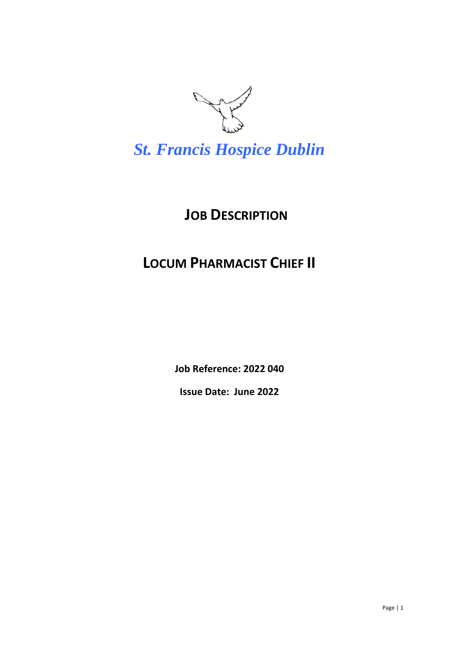

*St. Francis Hospice Dublin*

## **JOB DESCRIPTION**

### **LOCUM PHARMACIST CHIEF II**

**Job Reference: 2022 040**

**Issue Date: June 2022**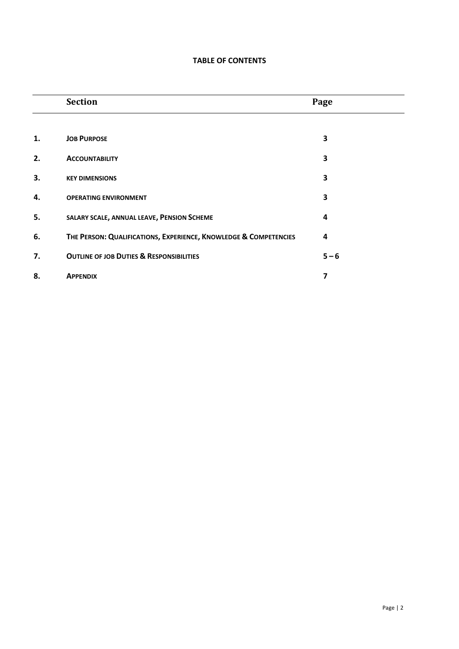#### **TABLE OF CONTENTS**

|    | <b>Section</b>                                                   | Page    |  |
|----|------------------------------------------------------------------|---------|--|
|    |                                                                  |         |  |
| 1. | <b>JOB PURPOSE</b>                                               | 3       |  |
| 2. | <b>ACCOUNTABILITY</b>                                            | 3       |  |
| 3. | <b>KEY DIMENSIONS</b>                                            | 3       |  |
| 4. | <b>OPERATING ENVIRONMENT</b>                                     | 3       |  |
| 5. | SALARY SCALE, ANNUAL LEAVE, PENSION SCHEME                       | 4       |  |
| 6. | THE PERSON: QUALIFICATIONS, EXPERIENCE, KNOWLEDGE & COMPETENCIES | 4       |  |
| 7. | <b>OUTLINE OF JOB DUTIES &amp; RESPONSIBILITIES</b>              | $5 - 6$ |  |
| 8. | <b>APPENDIX</b>                                                  | 7       |  |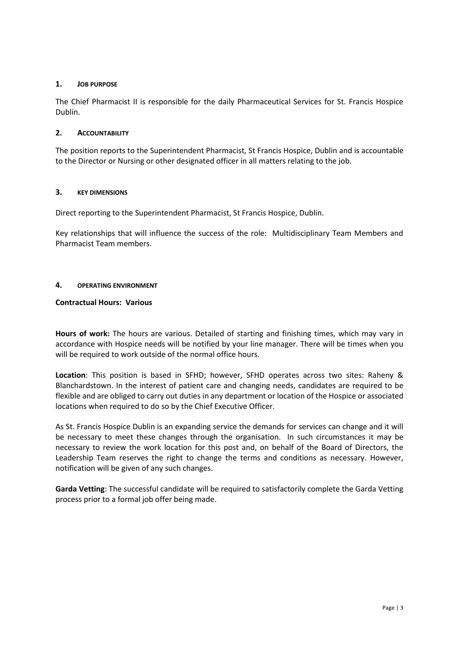#### **1. JOB PURPOSE**

The Chief Pharmacist II is responsible for the daily Pharmaceutical Services for St. Francis Hospice Dublin.

#### **2. ACCOUNTABILITY**

The position reports to the Superintendent Pharmacist, St Francis Hospice, Dublin and is accountable to the Director or Nursing or other designated officer in all matters relating to the job.

#### **3. KEY DIMENSIONS**

Direct reporting to the Superintendent Pharmacist, St Francis Hospice, Dublin.

Key relationships that will influence the success of the role: Multidisciplinary Team Members and Pharmacist Team members.

#### **4. OPERATING ENVIRONMENT**

#### **Contractual Hours: Various**

**Hours of work:** The hours are various. Detailed of starting and finishing times, which may vary in accordance with Hospice needs will be notified by your line manager. There will be times when you will be required to work outside of the normal office hours.

**Location**: This position is based in SFHD; however, SFHD operates across two sites: Raheny & Blanchardstown. In the interest of patient care and changing needs, candidates are required to be flexible and are obliged to carry out duties in any department or location of the Hospice or associated locations when required to do so by the Chief Executive Officer.

As St. Francis Hospice Dublin is an expanding service the demands for services can change and it will be necessary to meet these changes through the organisation. In such circumstances it may be necessary to review the work location for this post and, on behalf of the Board of Directors, the Leadership Team reserves the right to change the terms and conditions as necessary. However, notification will be given of any such changes.

**Garda Vetting**: The successful candidate will be required to satisfactorily complete the Garda Vetting process prior to a formal job offer being made.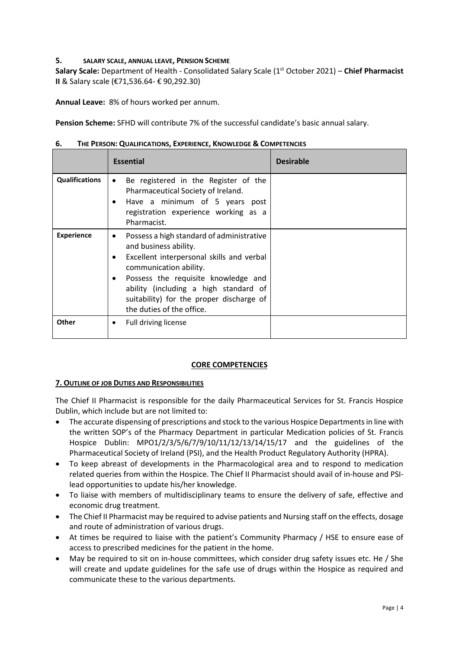#### **5. SALARY SCALE, ANNUAL LEAVE, PENSION SCHEME**

**Salary Scale:** Department of Health - Consolidated Salary Scale (1st October 2021) – **Chief Pharmacist II** & Salary scale (€71,536.64- € 90,292.30)

**Annual Leave:** 8% of hours worked per annum.

**Pension Scheme:** SFHD will contribute 7% of the successful candidate's basic annual salary.

| 6. |  | THE PERSON: QUALIFICATIONS, EXPERIENCE, KNOWLEDGE & COMPETENCIES |
|----|--|------------------------------------------------------------------|
|----|--|------------------------------------------------------------------|

|                       | <b>Essential</b>                                                                                                                                                                                                                                                                                   | <b>Desirable</b> |
|-----------------------|----------------------------------------------------------------------------------------------------------------------------------------------------------------------------------------------------------------------------------------------------------------------------------------------------|------------------|
| <b>Qualifications</b> | Be registered in the Register of the<br>$\bullet$<br>Pharmaceutical Society of Ireland.<br>Have a minimum of 5 years post<br>registration experience working as a<br>Pharmacist.                                                                                                                   |                  |
| <b>Experience</b>     | Possess a high standard of administrative<br>and business ability.<br>Excellent interpersonal skills and verbal<br>communication ability.<br>Possess the requisite knowledge and<br>ability (including a high standard of<br>suitability) for the proper discharge of<br>the duties of the office. |                  |
| <b>Other</b>          | Full driving license<br>$\bullet$                                                                                                                                                                                                                                                                  |                  |

#### **CORE COMPETENCIES**

#### **7. OUTLINE OF JOB DUTIES AND RESPONSIBILITIES**

The Chief II Pharmacist is responsible for the daily Pharmaceutical Services for St. Francis Hospice Dublin, which include but are not limited to:

- The accurate dispensing of prescriptions and stock to the various Hospice Departments in line with the written SOP's of the Pharmacy Department in particular Medication policies of St. Francis Hospice Dublin: MPO1/2/3/5/6/7/9/10/11/12/13/14/15/17 and the guidelines of the Pharmaceutical Society of Ireland (PSI), and the Health Product Regulatory Authority (HPRA).
- To keep abreast of developments in the Pharmacological area and to respond to medication related queries from within the Hospice. The Chief II Pharmacist should avail of in-house and PSIlead opportunities to update his/her knowledge.
- To liaise with members of multidisciplinary teams to ensure the delivery of safe, effective and economic drug treatment.
- The Chief II Pharmacist may be required to advise patients and Nursing staff on the effects, dosage and route of administration of various drugs.
- At times be required to liaise with the patient's Community Pharmacy / HSE to ensure ease of access to prescribed medicines for the patient in the home.
- May be required to sit on in-house committees, which consider drug safety issues etc. He / She will create and update guidelines for the safe use of drugs within the Hospice as required and communicate these to the various departments.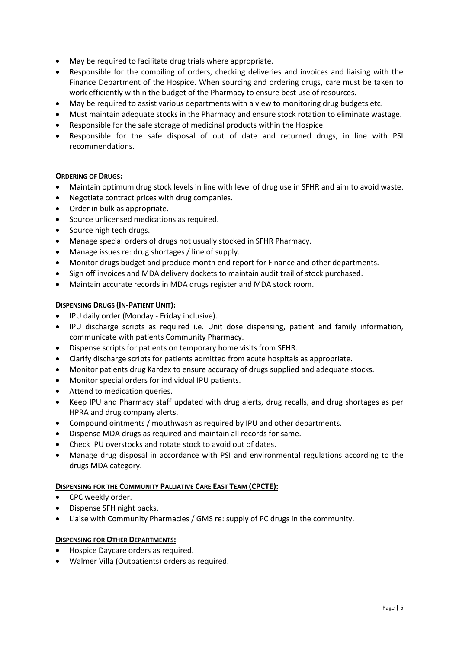- May be required to facilitate drug trials where appropriate.
- Responsible for the compiling of orders, checking deliveries and invoices and liaising with the Finance Department of the Hospice. When sourcing and ordering drugs, care must be taken to work efficiently within the budget of the Pharmacy to ensure best use of resources.
- May be required to assist various departments with a view to monitoring drug budgets etc.
- Must maintain adequate stocks in the Pharmacy and ensure stock rotation to eliminate wastage.
- Responsible for the safe storage of medicinal products within the Hospice.
- Responsible for the safe disposal of out of date and returned drugs, in line with PSI recommendations.

#### **ORDERING OF DRUGS:**

- Maintain optimum drug stock levels in line with level of drug use in SFHR and aim to avoid waste.
- Negotiate contract prices with drug companies.
- Order in bulk as appropriate.
- Source unlicensed medications as required.
- Source high tech drugs.
- Manage special orders of drugs not usually stocked in SFHR Pharmacy.
- Manage issues re: drug shortages / line of supply.
- Monitor drugs budget and produce month end report for Finance and other departments.
- Sign off invoices and MDA delivery dockets to maintain audit trail of stock purchased.
- Maintain accurate records in MDA drugs register and MDA stock room.

#### **DISPENSING DRUGS (IN-PATIENT UNIT):**

- IPU daily order (Monday Friday inclusive).
- IPU discharge scripts as required i.e. Unit dose dispensing, patient and family information, communicate with patients Community Pharmacy.
- Dispense scripts for patients on temporary home visits from SFHR.
- Clarify discharge scripts for patients admitted from acute hospitals as appropriate.
- Monitor patients drug Kardex to ensure accuracy of drugs supplied and adequate stocks.
- Monitor special orders for individual IPU patients.
- Attend to medication queries.
- Keep IPU and Pharmacy staff updated with drug alerts, drug recalls, and drug shortages as per HPRA and drug company alerts.
- Compound ointments / mouthwash as required by IPU and other departments.
- Dispense MDA drugs as required and maintain all records for same.
- Check IPU overstocks and rotate stock to avoid out of dates.
- Manage drug disposal in accordance with PSI and environmental regulations according to the drugs MDA category.

#### **DISPENSING FOR THE COMMUNITY PALLIATIVE CARE EAST TEAM (CPCTE):**

- CPC weekly order.
- Dispense SFH night packs.
- Liaise with Community Pharmacies / GMS re: supply of PC drugs in the community.

#### **DISPENSING FOR OTHER DEPARTMENTS:**

- Hospice Daycare orders as required.
- Walmer Villa (Outpatients) orders as required.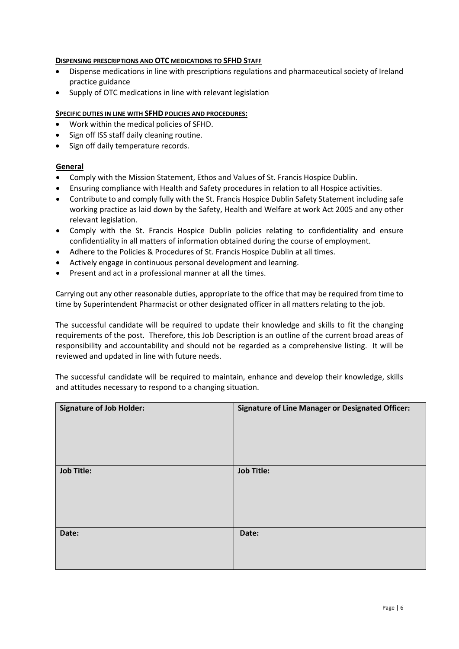#### **DISPENSING PRESCRIPTIONS AND OTC MEDICATIONS TO SFHD STAFF**

- Dispense medications in line with prescriptions regulations and pharmaceutical society of Ireland practice guidance
- Supply of OTC medications in line with relevant legislation

#### **SPECIFIC DUTIES IN LINE WITH SFHD POLICIES AND PROCEDURES:**

- Work within the medical policies of SFHD.
- Sign off ISS staff daily cleaning routine.
- Sign off daily temperature records.

#### **General**

- Comply with the Mission Statement, Ethos and Values of St. Francis Hospice Dublin.
- Ensuring compliance with Health and Safety procedures in relation to all Hospice activities.
- Contribute to and comply fully with the St. Francis Hospice Dublin Safety Statement including safe working practice as laid down by the Safety, Health and Welfare at work Act 2005 and any other relevant legislation.
- Comply with the St. Francis Hospice Dublin policies relating to confidentiality and ensure confidentiality in all matters of information obtained during the course of employment.
- Adhere to the Policies & Procedures of St. Francis Hospice Dublin at all times.
- Actively engage in continuous personal development and learning.
- Present and act in a professional manner at all the times.

Carrying out any other reasonable duties, appropriate to the office that may be required from time to time by Superintendent Pharmacist or other designated officer in all matters relating to the job.

The successful candidate will be required to update their knowledge and skills to fit the changing requirements of the post. Therefore, this Job Description is an outline of the current broad areas of responsibility and accountability and should not be regarded as a comprehensive listing. It will be reviewed and updated in line with future needs.

The successful candidate will be required to maintain, enhance and develop their knowledge, skills and attitudes necessary to respond to a changing situation.

| <b>Signature of Job Holder:</b> | <b>Signature of Line Manager or Designated Officer:</b> |
|---------------------------------|---------------------------------------------------------|
| <b>Job Title:</b>               | <b>Job Title:</b>                                       |
| Date:                           | Date:                                                   |